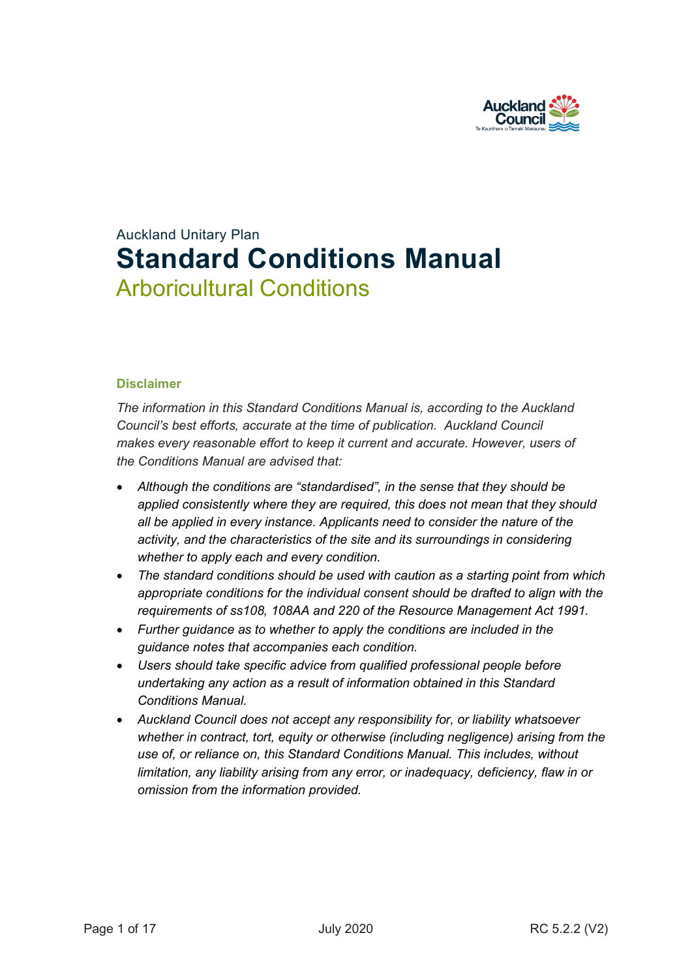

# Auckland Unitary Plan **Standard Conditions Manual** Arboricultural Conditions

#### **Disclaimer**

*The information in this Standard Conditions Manual is, according to the Auckland Council's best efforts, accurate at the time of publication. Auckland Council makes every reasonable effort to keep it current and accurate. However, users of the Conditions Manual are advised that:* 

- *Although the conditions are "standardised", in the sense that they should be applied consistently where they are required, this does not mean that they should all be applied in every instance. Applicants need to consider the nature of the activity, and the characteristics of the site and its surroundings in considering whether to apply each and every condition.*
- *The standard conditions should be used with caution as a starting point from which appropriate conditions for the individual consent should be drafted to align with the requirements of ss108, 108AA and 220 of the Resource Management Act 1991.*
- *Further guidance as to whether to apply the conditions are included in the guidance notes that accompanies each condition.*
- *Users should take specific advice from qualified professional people before undertaking any action as a result of information obtained in this Standard Conditions Manual.*
- *Auckland Council does not accept any responsibility for, or liability whatsoever whether in contract, tort, equity or otherwise (including negligence) arising from the use of, or reliance on, this Standard Conditions Manual. This includes, without limitation, any liability arising from any error, or inadequacy, deficiency, flaw in or omission from the information provided.*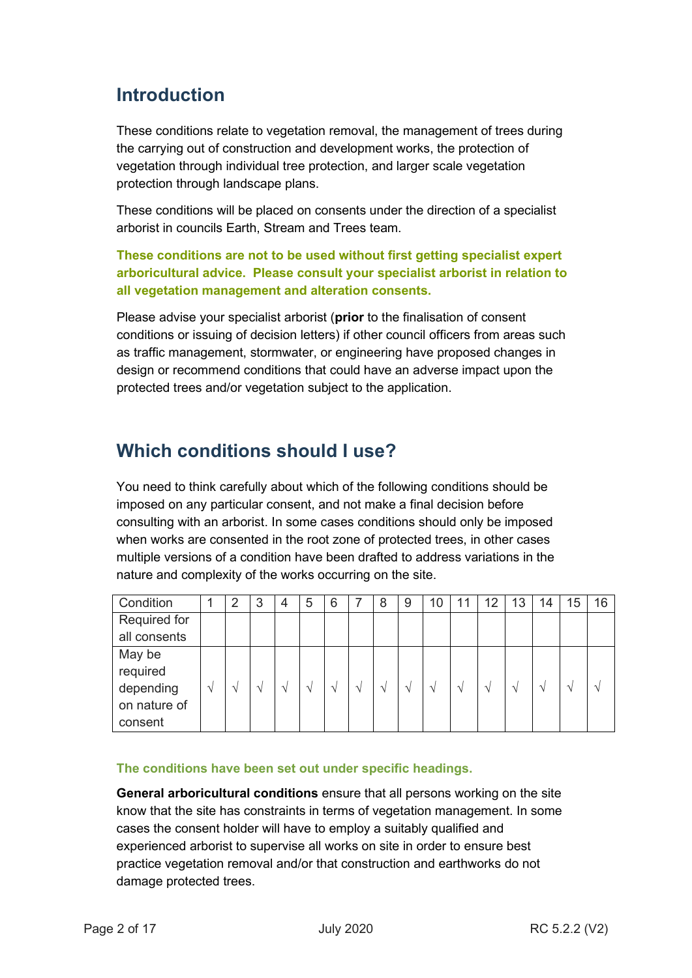## **Introduction**

These conditions relate to vegetation removal, the management of trees during the carrying out of construction and development works, the protection of vegetation through individual tree protection, and larger scale vegetation protection through landscape plans.

These conditions will be placed on consents under the direction of a specialist arborist in councils Earth, Stream and Trees team.

**These conditions are not to be used without first getting specialist expert arboricultural advice. Please consult your specialist arborist in relation to all vegetation management and alteration consents.** 

Please advise your specialist arborist (**prior** to the finalisation of consent conditions or issuing of decision letters) if other council officers from areas such as traffic management, stormwater, or engineering have proposed changes in design or recommend conditions that could have an adverse impact upon the protected trees and/or vegetation subject to the application.

## **Which conditions should I use?**

You need to think carefully about which of the following conditions should be imposed on any particular consent, and not make a final decision before consulting with an arborist. In some cases conditions should only be imposed when works are consented in the root zone of protected trees, in other cases multiple versions of a condition have been drafted to address variations in the nature and complexity of the works occurring on the site.

| Condition    |               | $\overline{2}$ | 3               | 4      | 5             | 6             |               | 8             | 9               | 10 | 11 | 12            | 13              | 14          | 15              | 16            |
|--------------|---------------|----------------|-----------------|--------|---------------|---------------|---------------|---------------|-----------------|----|----|---------------|-----------------|-------------|-----------------|---------------|
| Required for |               |                |                 |        |               |               |               |               |                 |    |    |               |                 |             |                 |               |
| all consents |               |                |                 |        |               |               |               |               |                 |    |    |               |                 |             |                 |               |
| May be       |               |                |                 |        |               |               |               |               |                 |    |    |               |                 |             |                 |               |
| required     |               |                |                 |        |               |               |               |               |                 |    |    |               |                 |             |                 |               |
| depending    | $\mathcal{N}$ | $\mathcal{N}$  | $\triangleleft$ | $\sim$ | $\mathcal{N}$ | $\mathcal{L}$ | $\mathcal{N}$ | $\mathcal{N}$ | $\triangleleft$ |    |    | $\mathcal{N}$ | $\triangleleft$ | $\triangle$ | $\triangleleft$ | $\mathcal{L}$ |
| on nature of |               |                |                 |        |               |               |               |               |                 |    |    |               |                 |             |                 |               |
| consent      |               |                |                 |        |               |               |               |               |                 |    |    |               |                 |             |                 |               |

#### **The conditions have been set out under specific headings.**

**General arboricultural conditions** ensure that all persons working on the site know that the site has constraints in terms of vegetation management. In some cases the consent holder will have to employ a suitably qualified and experienced arborist to supervise all works on site in order to ensure best practice vegetation removal and/or that construction and earthworks do not damage protected trees.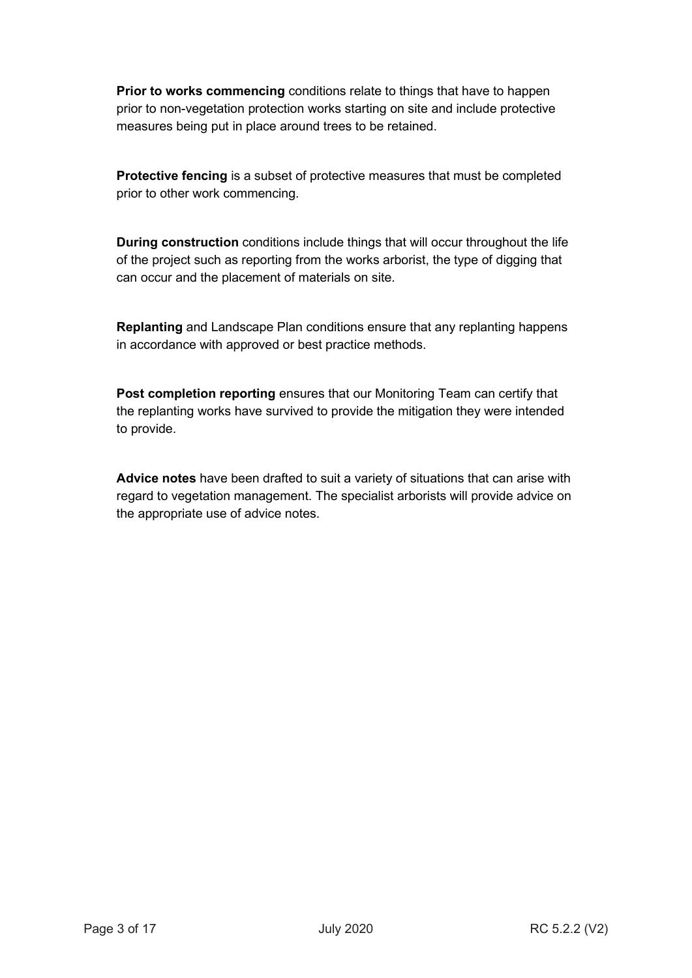**Prior to works commencing** conditions relate to things that have to happen prior to non-vegetation protection works starting on site and include protective measures being put in place around trees to be retained.

**Protective fencing** is a subset of protective measures that must be completed prior to other work commencing.

**During construction** conditions include things that will occur throughout the life of the project such as reporting from the works arborist, the type of digging that can occur and the placement of materials on site.

**Replanting** and Landscape Plan conditions ensure that any replanting happens in accordance with approved or best practice methods.

**Post completion reporting** ensures that our Monitoring Team can certify that the replanting works have survived to provide the mitigation they were intended to provide.

**Advice notes** have been drafted to suit a variety of situations that can arise with regard to vegetation management. The specialist arborists will provide advice on the appropriate use of advice notes.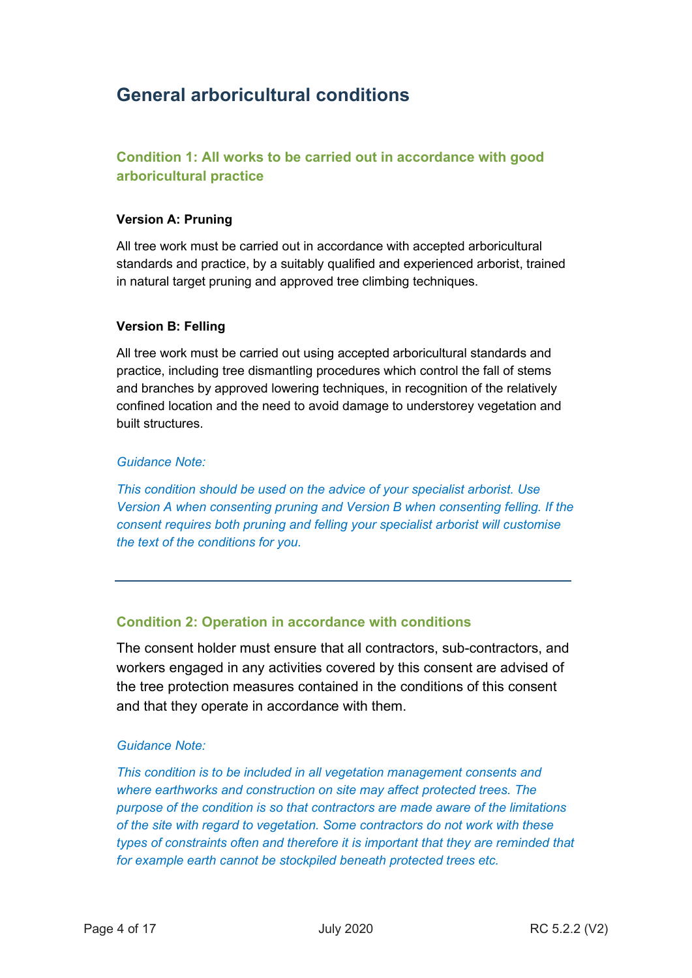## **General arboricultural conditions**

## **Condition 1: All works to be carried out in accordance with good arboricultural practice**

#### **Version A: Pruning**

All tree work must be carried out in accordance with accepted arboricultural standards and practice, by a suitably qualified and experienced arborist, trained in natural target pruning and approved tree climbing techniques.

#### **Version B: Felling**

All tree work must be carried out using accepted arboricultural standards and practice, including tree dismantling procedures which control the fall of stems and branches by approved lowering techniques, in recognition of the relatively confined location and the need to avoid damage to understorey vegetation and built structures.

#### *Guidance Note:*

*This condition should be used on the advice of your specialist arborist. Use Version A when consenting pruning and Version B when consenting felling. If the consent requires both pruning and felling your specialist arborist will customise the text of the conditions for you.*

#### **Condition 2: Operation in accordance with conditions**

The consent holder must ensure that all contractors, sub-contractors, and workers engaged in any activities covered by this consent are advised of the tree protection measures contained in the conditions of this consent and that they operate in accordance with them.

#### *Guidance Note:*

*This condition is to be included in all vegetation management consents and where earthworks and construction on site may affect protected trees. The purpose of the condition is so that contractors are made aware of the limitations of the site with regard to vegetation. Some contractors do not work with these types of constraints often and therefore it is important that they are reminded that for example earth cannot be stockpiled beneath protected trees etc.*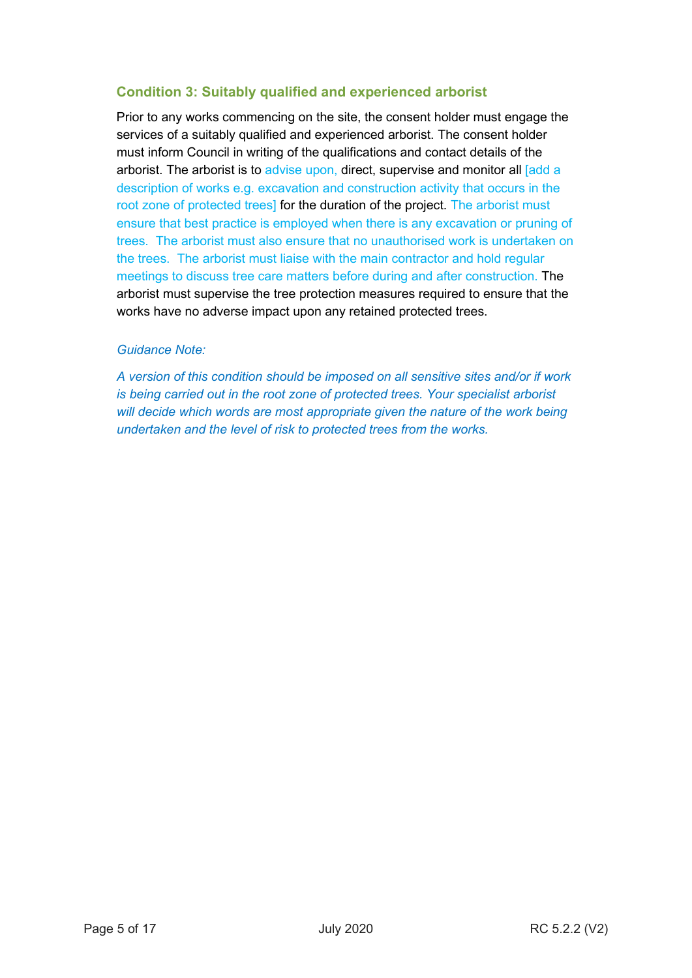## **Condition 3: Suitably qualified and experienced arborist**

Prior to any works commencing on the site, the consent holder must engage the services of a suitably qualified and experienced arborist. The consent holder must inform Council in writing of the qualifications and contact details of the arborist. The arborist is to advise upon, direct, supervise and monitor all and a description of works e.g. excavation and construction activity that occurs in the root zone of protected trees] for the duration of the project. The arborist must ensure that best practice is employed when there is any excavation or pruning of trees. The arborist must also ensure that no unauthorised work is undertaken on the trees. The arborist must liaise with the main contractor and hold regular meetings to discuss tree care matters before during and after construction. The arborist must supervise the tree protection measures required to ensure that the works have no adverse impact upon any retained protected trees.

#### *Guidance Note:*

*A version of this condition should be imposed on all sensitive sites and/or if work is being carried out in the root zone of protected trees. Your specialist arborist*  will decide which words are most appropriate given the nature of the work being *undertaken and the level of risk to protected trees from the works.*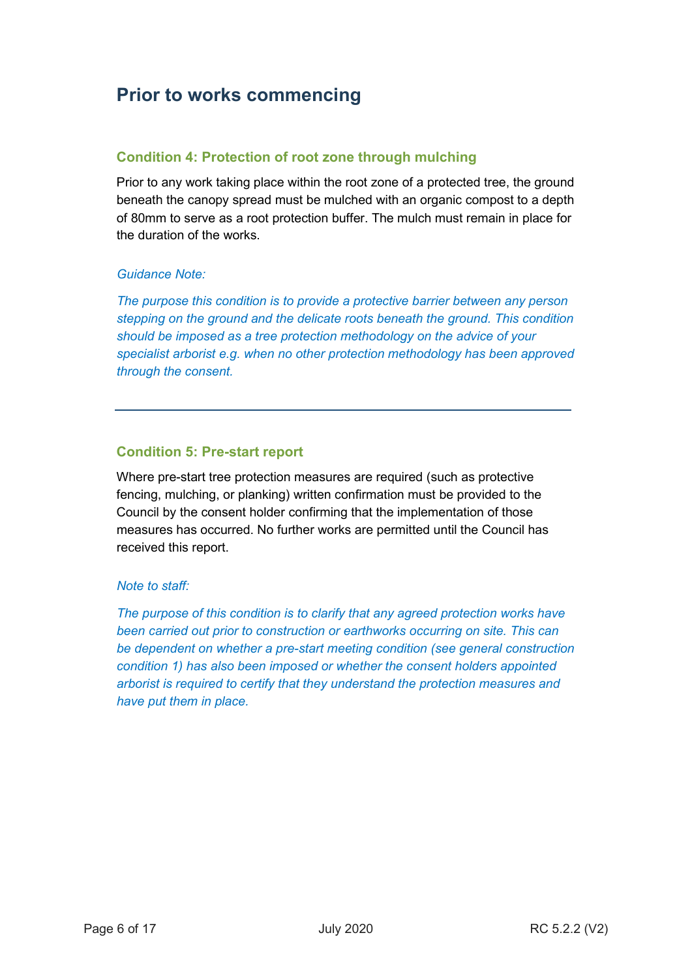## **Prior to works commencing**

### **Condition 4: Protection of root zone through mulching**

Prior to any work taking place within the root zone of a protected tree, the ground beneath the canopy spread must be mulched with an organic compost to a depth of 80mm to serve as a root protection buffer. The mulch must remain in place for the duration of the works.

#### *Guidance Note:*

*The purpose this condition is to provide a protective barrier between any person stepping on the ground and the delicate roots beneath the ground. This condition should be imposed as a tree protection methodology on the advice of your specialist arborist e.g. when no other protection methodology has been approved through the consent.* 

#### **Condition 5: Pre-start report**

Where pre-start tree protection measures are required (such as protective fencing, mulching, or planking) written confirmation must be provided to the Council by the consent holder confirming that the implementation of those measures has occurred. No further works are permitted until the Council has received this report.

#### *Note to staff:*

*The purpose of this condition is to clarify that any agreed protection works have been carried out prior to construction or earthworks occurring on site. This can be dependent on whether a pre-start meeting condition (see general construction condition 1) has also been imposed or whether the consent holders appointed arborist is required to certify that they understand the protection measures and have put them in place.*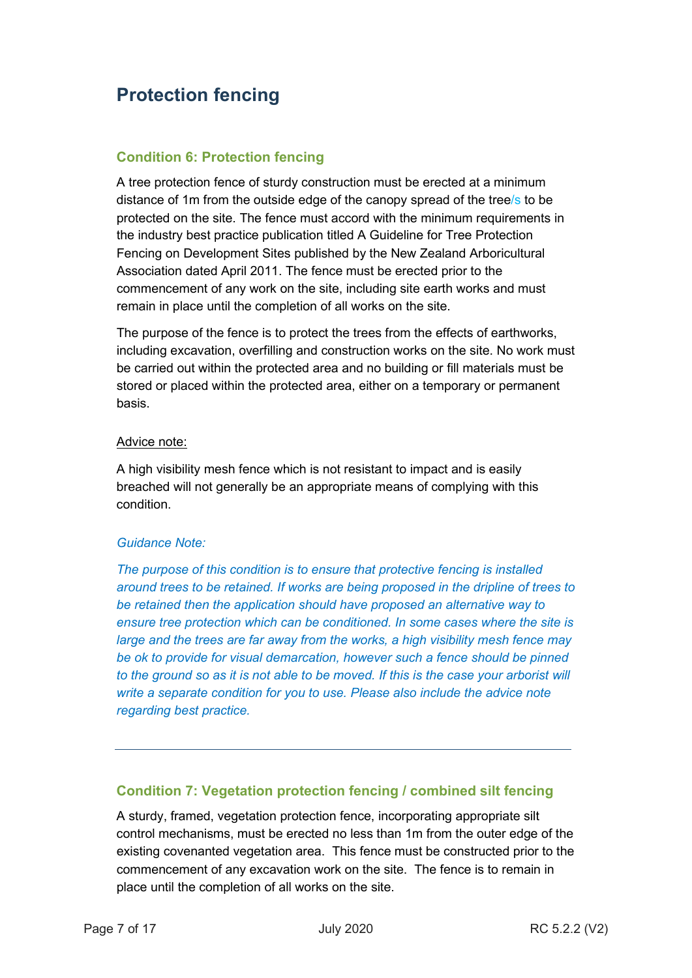## **Protection fencing**

### **Condition 6: Protection fencing**

A tree protection fence of sturdy construction must be erected at a minimum distance of 1m from the outside edge of the canopy spread of the tree/s to be protected on the site. The fence must accord with the minimum requirements in the industry best practice publication titled A Guideline for Tree Protection Fencing on Development Sites published by the New Zealand Arboricultural Association dated April 2011. The fence must be erected prior to the commencement of any work on the site, including site earth works and must remain in place until the completion of all works on the site.

The purpose of the fence is to protect the trees from the effects of earthworks, including excavation, overfilling and construction works on the site. No work must be carried out within the protected area and no building or fill materials must be stored or placed within the protected area, either on a temporary or permanent basis.

#### Advice note:

A high visibility mesh fence which is not resistant to impact and is easily breached will not generally be an appropriate means of complying with this condition.

#### *Guidance Note:*

*The purpose of this condition is to ensure that protective fencing is installed around trees to be retained. If works are being proposed in the dripline of trees to be retained then the application should have proposed an alternative way to ensure tree protection which can be conditioned. In some cases where the site is large and the trees are far away from the works, a high visibility mesh fence may*  be ok to provide for visual demarcation, however such a fence should be pinned *to the ground so as it is not able to be moved. If this is the case your arborist will write a separate condition for you to use. Please also include the advice note regarding best practice.* 

### **Condition 7: Vegetation protection fencing / combined silt fencing**

A sturdy, framed, vegetation protection fence, incorporating appropriate silt control mechanisms, must be erected no less than 1m from the outer edge of the existing covenanted vegetation area. This fence must be constructed prior to the commencement of any excavation work on the site. The fence is to remain in place until the completion of all works on the site.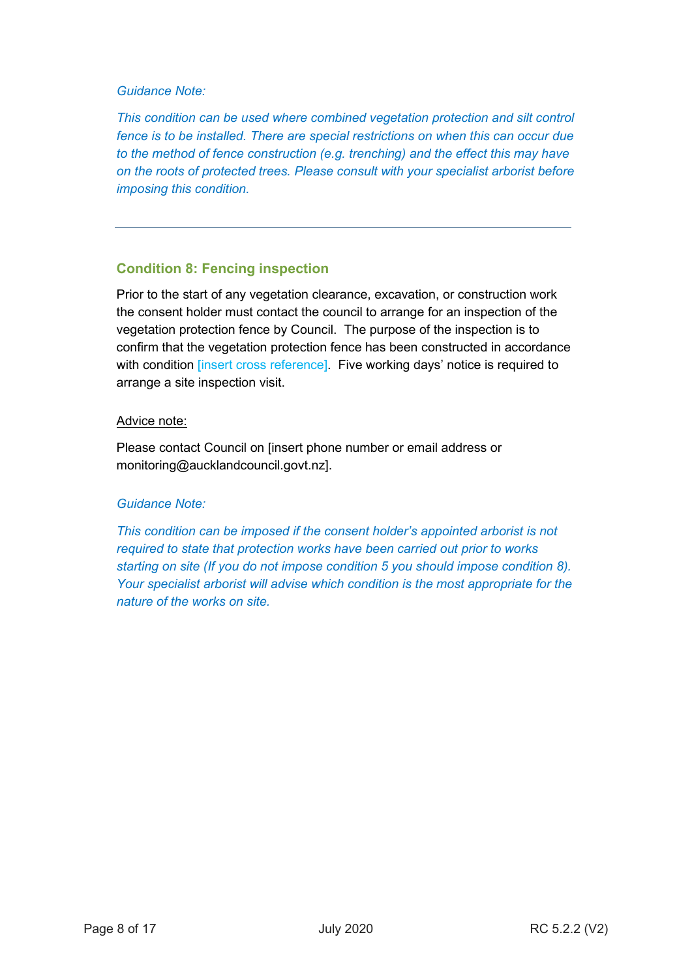#### *Guidance Note:*

*This condition can be used where combined vegetation protection and silt control fence is to be installed. There are special restrictions on when this can occur due to the method of fence construction (e.g. trenching) and the effect this may have on the roots of protected trees. Please consult with your specialist arborist before imposing this condition.* 

## **Condition 8: Fencing inspection**

Prior to the start of any vegetation clearance, excavation, or construction work the consent holder must contact the council to arrange for an inspection of the vegetation protection fence by Council. The purpose of the inspection is to confirm that the vegetation protection fence has been constructed in accordance with condition *[insert cross reference]*. Five working days' notice is required to arrange a site inspection visit.

#### Advice note:

Please contact Council on [insert phone number or email address or monitoring@aucklandcouncil.govt.nz].

#### *Guidance Note:*

*This condition can be imposed if the consent holder's appointed arborist is not required to state that protection works have been carried out prior to works starting on site (If you do not impose condition 5 you should impose condition 8). Your specialist arborist will advise which condition is the most appropriate for the nature of the works on site.*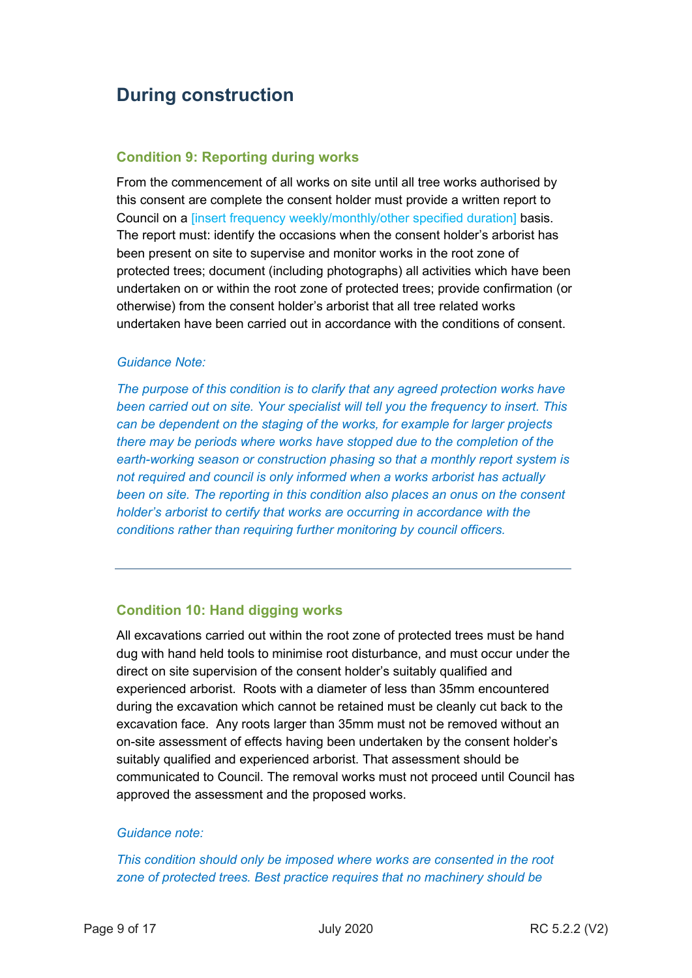## **During construction**

#### **Condition 9: Reporting during works**

From the commencement of all works on site until all tree works authorised by this consent are complete the consent holder must provide a written report to Council on a [insert frequency weekly/monthly/other specified duration] basis. The report must: identify the occasions when the consent holder's arborist has been present on site to supervise and monitor works in the root zone of protected trees; document (including photographs) all activities which have been undertaken on or within the root zone of protected trees; provide confirmation (or otherwise) from the consent holder's arborist that all tree related works undertaken have been carried out in accordance with the conditions of consent.

#### *Guidance Note:*

*The purpose of this condition is to clarify that any agreed protection works have been carried out on site. Your specialist will tell you the frequency to insert. This can be dependent on the staging of the works, for example for larger projects there may be periods where works have stopped due to the completion of the earth-working season or construction phasing so that a monthly report system is not required and council is only informed when a works arborist has actually been on site. The reporting in this condition also places an onus on the consent holder's arborist to certify that works are occurring in accordance with the conditions rather than requiring further monitoring by council officers.* 

#### **Condition 10: Hand digging works**

All excavations carried out within the root zone of protected trees must be hand dug with hand held tools to minimise root disturbance, and must occur under the direct on site supervision of the consent holder's suitably qualified and experienced arborist. Roots with a diameter of less than 35mm encountered during the excavation which cannot be retained must be cleanly cut back to the excavation face. Any roots larger than 35mm must not be removed without an on-site assessment of effects having been undertaken by the consent holder's suitably qualified and experienced arborist. That assessment should be communicated to Council. The removal works must not proceed until Council has approved the assessment and the proposed works.

#### *Guidance note:*

*This condition should only be imposed where works are consented in the root zone of protected trees. Best practice requires that no machinery should be*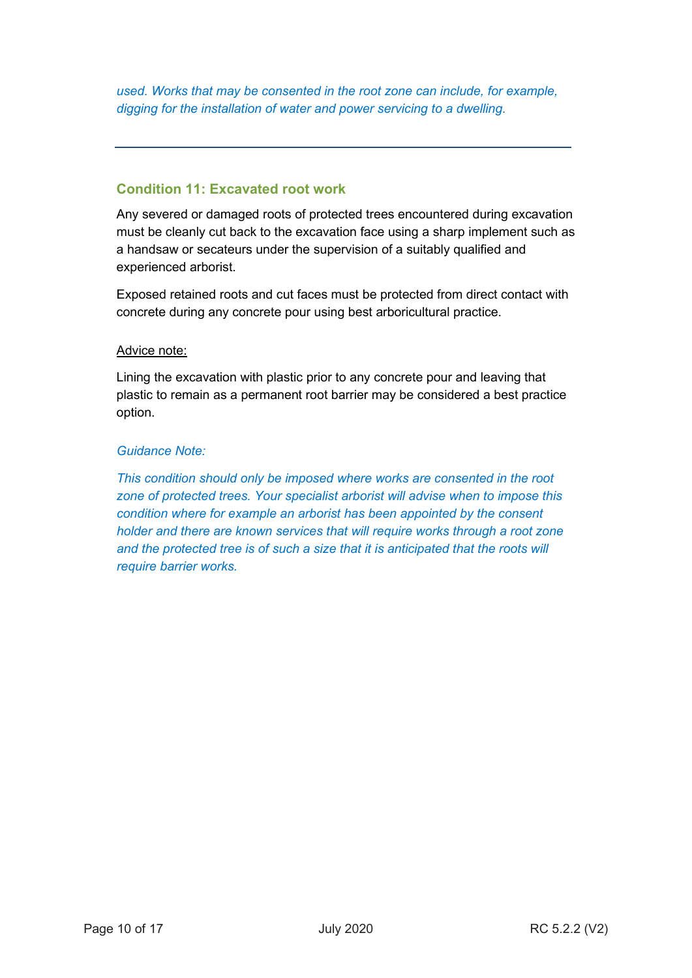*used. Works that may be consented in the root zone can include, for example, digging for the installation of water and power servicing to a dwelling.* 

### **Condition 11: Excavated root work**

Any severed or damaged roots of protected trees encountered during excavation must be cleanly cut back to the excavation face using a sharp implement such as a handsaw or secateurs under the supervision of a suitably qualified and experienced arborist.

Exposed retained roots and cut faces must be protected from direct contact with concrete during any concrete pour using best arboricultural practice.

#### Advice note:

Lining the excavation with plastic prior to any concrete pour and leaving that plastic to remain as a permanent root barrier may be considered a best practice option.

#### *Guidance Note:*

*This condition should only be imposed where works are consented in the root zone of protected trees. Your specialist arborist will advise when to impose this condition where for example an arborist has been appointed by the consent holder and there are known services that will require works through a root zone and the protected tree is of such a size that it is anticipated that the roots will require barrier works.*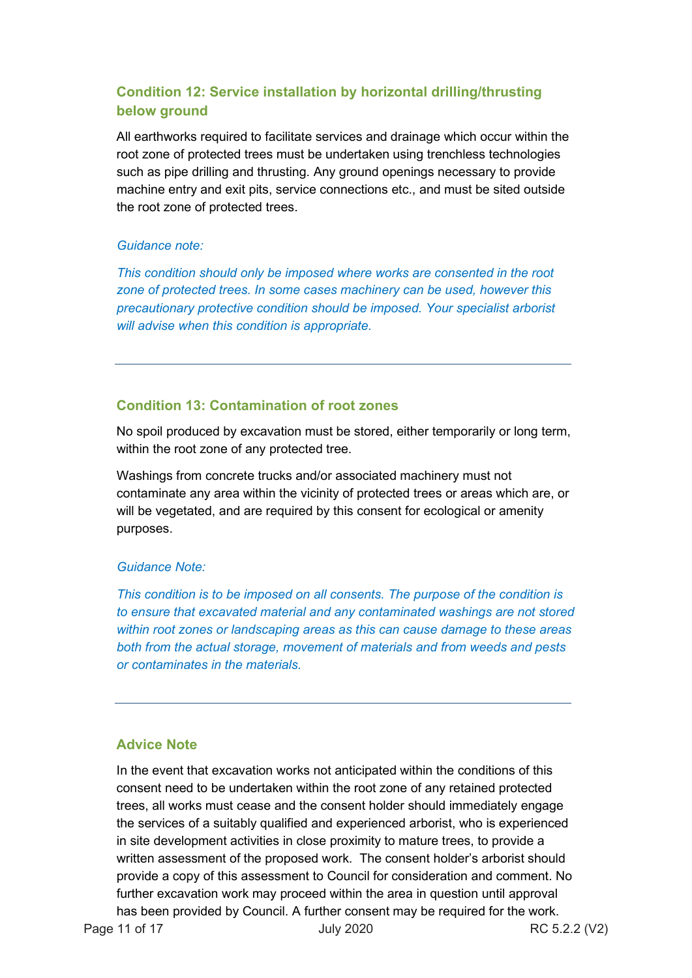## **Condition 12: Service installation by horizontal drilling/thrusting below ground**

All earthworks required to facilitate services and drainage which occur within the root zone of protected trees must be undertaken using trenchless technologies such as pipe drilling and thrusting. Any ground openings necessary to provide machine entry and exit pits, service connections etc., and must be sited outside the root zone of protected trees.

#### *Guidance note:*

*This condition should only be imposed where works are consented in the root zone of protected trees. In some cases machinery can be used, however this precautionary protective condition should be imposed. Your specialist arborist will advise when this condition is appropriate.* 

### **Condition 13: Contamination of root zones**

No spoil produced by excavation must be stored, either temporarily or long term, within the root zone of any protected tree.

Washings from concrete trucks and/or associated machinery must not contaminate any area within the vicinity of protected trees or areas which are, or will be vegetated, and are required by this consent for ecological or amenity purposes.

#### *Guidance Note:*

*This condition is to be imposed on all consents. The purpose of the condition is to ensure that excavated material and any contaminated washings are not stored within root zones or landscaping areas as this can cause damage to these areas both from the actual storage, movement of materials and from weeds and pests or contaminates in the materials.* 

### **Advice Note**

In the event that excavation works not anticipated within the conditions of this consent need to be undertaken within the root zone of any retained protected trees, all works must cease and the consent holder should immediately engage the services of a suitably qualified and experienced arborist, who is experienced in site development activities in close proximity to mature trees, to provide a written assessment of the proposed work. The consent holder's arborist should provide a copy of this assessment to Council for consideration and comment. No further excavation work may proceed within the area in question until approval has been provided by Council. A further consent may be required for the work.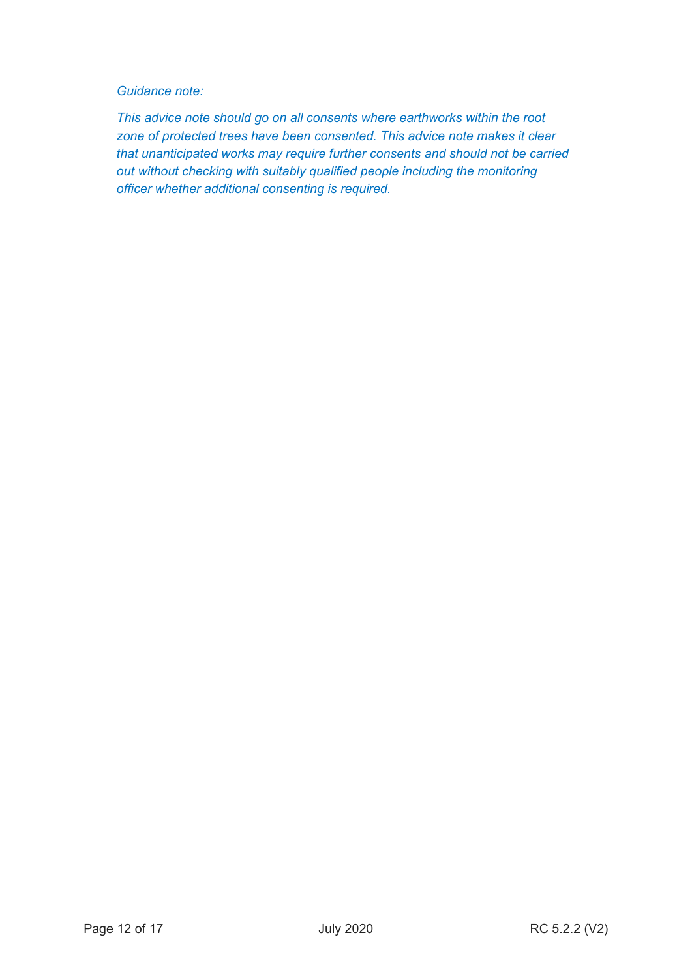#### *Guidance note:*

*This advice note should go on all consents where earthworks within the root zone of protected trees have been consented. This advice note makes it clear that unanticipated works may require further consents and should not be carried out without checking with suitably qualified people including the monitoring officer whether additional consenting is required.*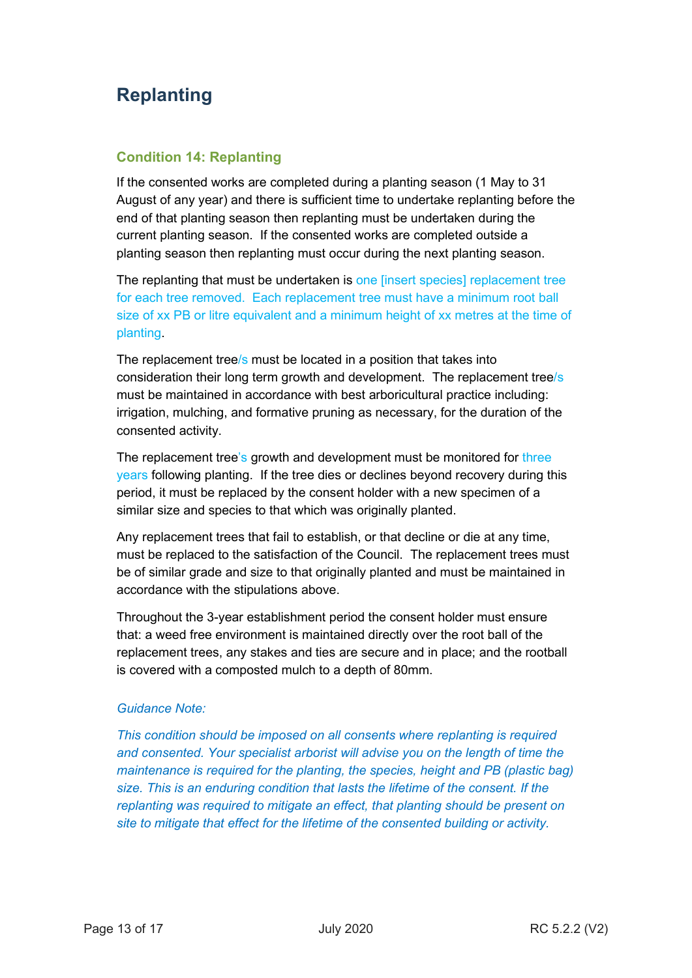## **Replanting**

### **Condition 14: Replanting**

If the consented works are completed during a planting season (1 May to 31 August of any year) and there is sufficient time to undertake replanting before the end of that planting season then replanting must be undertaken during the current planting season. If the consented works are completed outside a planting season then replanting must occur during the next planting season.

The replanting that must be undertaken is one [insert species] replacement tree for each tree removed. Each replacement tree must have a minimum root ball size of xx PB or litre equivalent and a minimum height of xx metres at the time of planting.

The replacement tree/s must be located in a position that takes into consideration their long term growth and development. The replacement tree/s must be maintained in accordance with best arboricultural practice including: irrigation, mulching, and formative pruning as necessary, for the duration of the consented activity.

The replacement tree's growth and development must be monitored for three years following planting. If the tree dies or declines beyond recovery during this period, it must be replaced by the consent holder with a new specimen of a similar size and species to that which was originally planted.

Any replacement trees that fail to establish, or that decline or die at any time, must be replaced to the satisfaction of the Council. The replacement trees must be of similar grade and size to that originally planted and must be maintained in accordance with the stipulations above.

Throughout the 3-year establishment period the consent holder must ensure that: a weed free environment is maintained directly over the root ball of the replacement trees, any stakes and ties are secure and in place; and the rootball is covered with a composted mulch to a depth of 80mm.

#### *Guidance Note:*

*This condition should be imposed on all consents where replanting is required and consented. Your specialist arborist will advise you on the length of time the maintenance is required for the planting, the species, height and PB (plastic bag) size. This is an enduring condition that lasts the lifetime of the consent. If the replanting was required to mitigate an effect, that planting should be present on site to mitigate that effect for the lifetime of the consented building or activity.*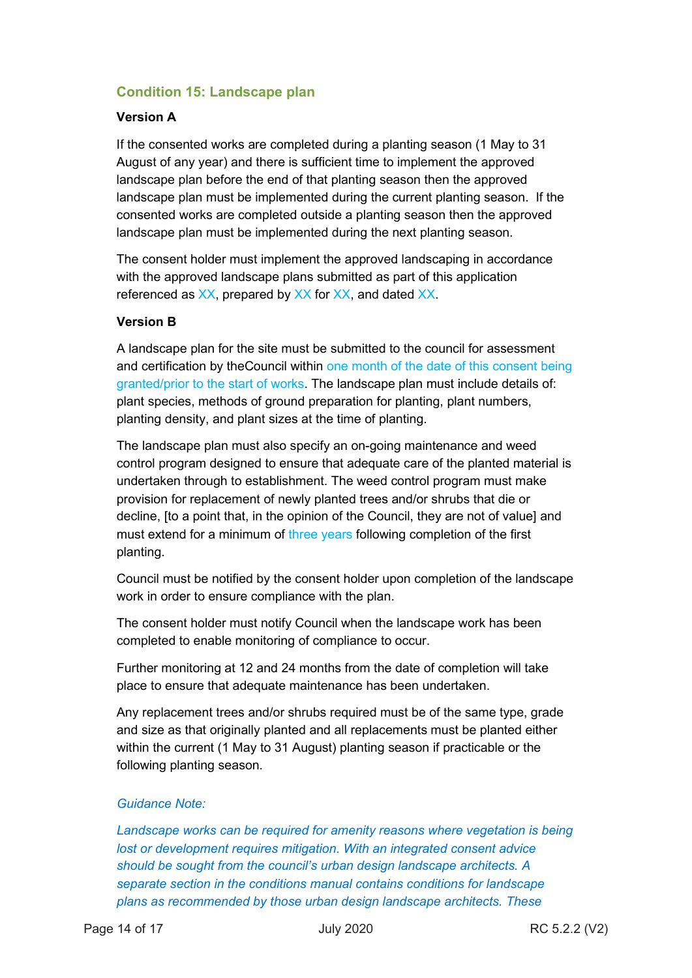## **Condition 15: Landscape plan**

#### **Version A**

If the consented works are completed during a planting season (1 May to 31 August of any year) and there is sufficient time to implement the approved landscape plan before the end of that planting season then the approved landscape plan must be implemented during the current planting season. If the consented works are completed outside a planting season then the approved landscape plan must be implemented during the next planting season.

The consent holder must implement the approved landscaping in accordance with the approved landscape plans submitted as part of this application referenced as XX, prepared by XX for XX, and dated XX.

#### **Version B**

A landscape plan for the site must be submitted to the council for assessment and certification by theCouncil within one month of the date of this consent being granted/prior to the start of works. The landscape plan must include details of: plant species, methods of ground preparation for planting, plant numbers, planting density, and plant sizes at the time of planting.

The landscape plan must also specify an on-going maintenance and weed control program designed to ensure that adequate care of the planted material is undertaken through to establishment. The weed control program must make provision for replacement of newly planted trees and/or shrubs that die or decline, [to a point that, in the opinion of the Council, they are not of value] and must extend for a minimum of three years following completion of the first planting.

Council must be notified by the consent holder upon completion of the landscape work in order to ensure compliance with the plan.

The consent holder must notify Council when the landscape work has been completed to enable monitoring of compliance to occur.

Further monitoring at 12 and 24 months from the date of completion will take place to ensure that adequate maintenance has been undertaken.

Any replacement trees and/or shrubs required must be of the same type, grade and size as that originally planted and all replacements must be planted either within the current (1 May to 31 August) planting season if practicable or the following planting season.

#### *Guidance Note:*

Landscape works can be required for amenity reasons where vegetation is being *lost or development requires mitigation. With an integrated consent advice should be sought from the council's urban design landscape architects. A separate section in the conditions manual contains conditions for landscape plans as recommended by those urban design landscape architects. These*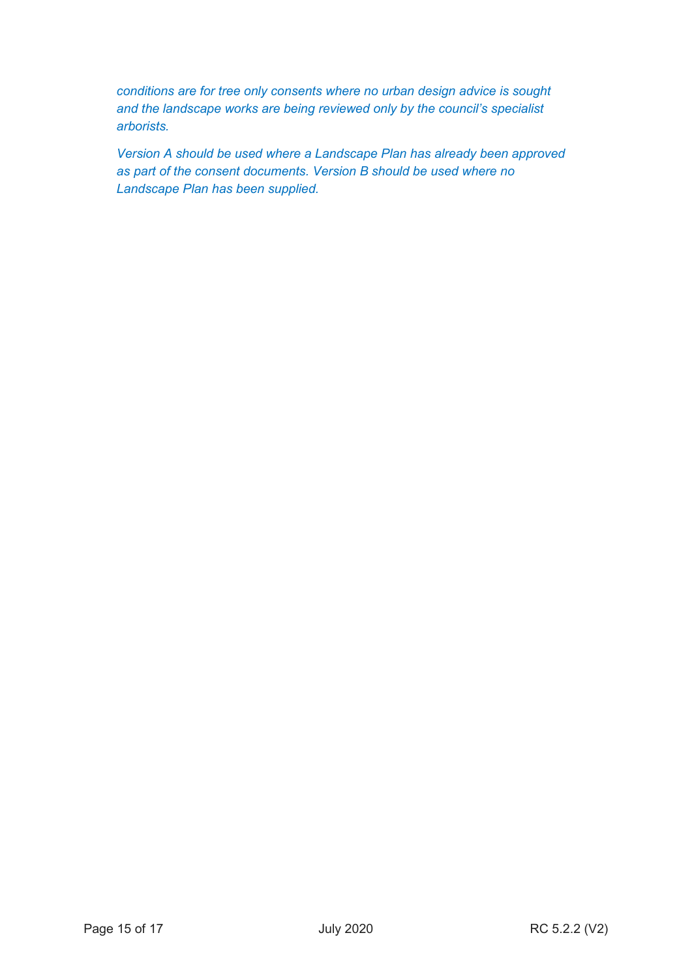*conditions are for tree only consents where no urban design advice is sought and the landscape works are being reviewed only by the council's specialist arborists.* 

*Version A should be used where a Landscape Plan has already been approved as part of the consent documents. Version B should be used where no Landscape Plan has been supplied.*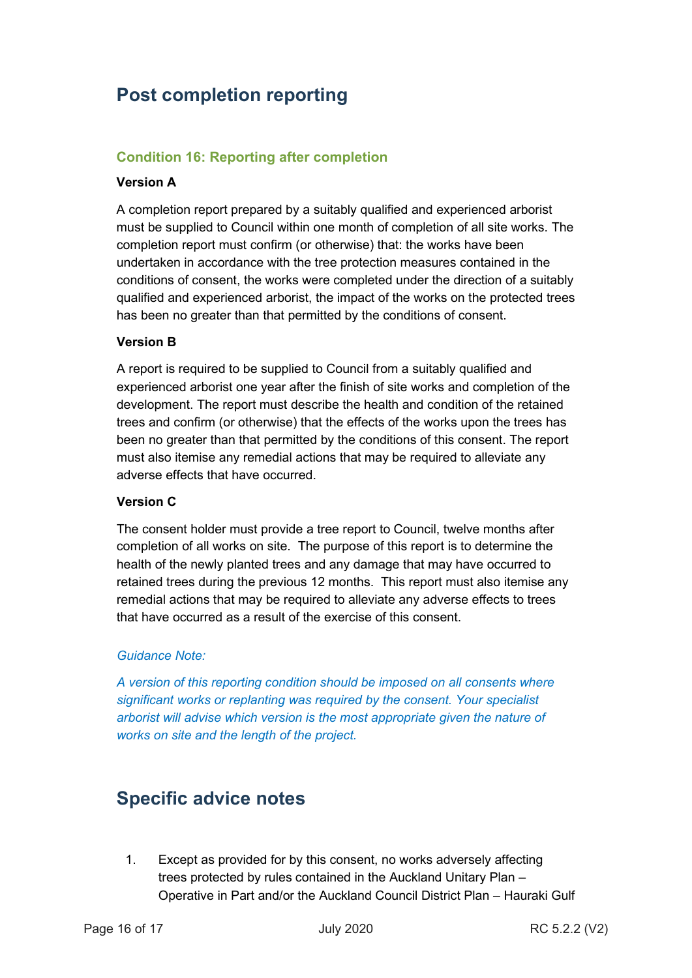## **Post completion reporting**

### **Condition 16: Reporting after completion**

#### **Version A**

A completion report prepared by a suitably qualified and experienced arborist must be supplied to Council within one month of completion of all site works. The completion report must confirm (or otherwise) that: the works have been undertaken in accordance with the tree protection measures contained in the conditions of consent, the works were completed under the direction of a suitably qualified and experienced arborist, the impact of the works on the protected trees has been no greater than that permitted by the conditions of consent.

#### **Version B**

A report is required to be supplied to Council from a suitably qualified and experienced arborist one year after the finish of site works and completion of the development. The report must describe the health and condition of the retained trees and confirm (or otherwise) that the effects of the works upon the trees has been no greater than that permitted by the conditions of this consent. The report must also itemise any remedial actions that may be required to alleviate any adverse effects that have occurred.

#### **Version C**

The consent holder must provide a tree report to Council, twelve months after completion of all works on site. The purpose of this report is to determine the health of the newly planted trees and any damage that may have occurred to retained trees during the previous 12 months. This report must also itemise any remedial actions that may be required to alleviate any adverse effects to trees that have occurred as a result of the exercise of this consent.

#### *Guidance Note:*

*A version of this reporting condition should be imposed on all consents where significant works or replanting was required by the consent. Your specialist arborist will advise which version is the most appropriate given the nature of works on site and the length of the project.* 

## **Specific advice notes**

1. Except as provided for by this consent, no works adversely affecting trees protected by rules contained in the Auckland Unitary Plan – Operative in Part and/or the Auckland Council District Plan – Hauraki Gulf